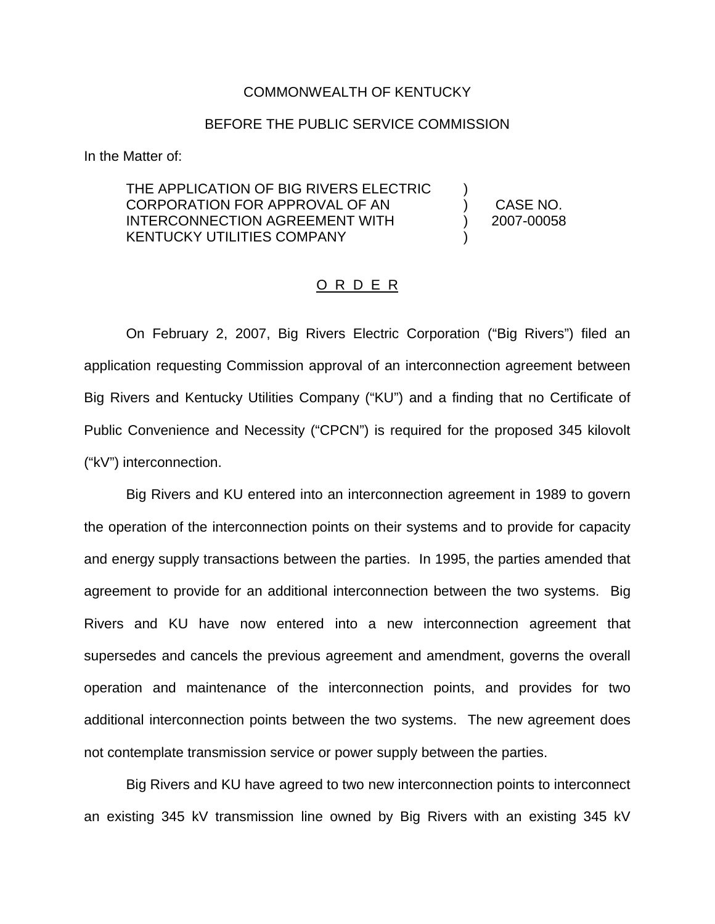## COMMONWEALTH OF KENTUCKY

## BEFORE THE PUBLIC SERVICE COMMISSION

In the Matter of:

## THE APPLICATION OF BIG RIVERS ELECTRIC CORPORATION FOR APPROVAL OF AN INTERCONNECTION AGREEMENT WITH KENTUCKY UTILITIES COMPANY

) CASE NO. ) 2007-00058

)

)

## O R D E R

On February 2, 2007, Big Rivers Electric Corporation ("Big Rivers") filed an application requesting Commission approval of an interconnection agreement between Big Rivers and Kentucky Utilities Company ("KU") and a finding that no Certificate of Public Convenience and Necessity ("CPCN") is required for the proposed 345 kilovolt ("kV") interconnection.

Big Rivers and KU entered into an interconnection agreement in 1989 to govern the operation of the interconnection points on their systems and to provide for capacity and energy supply transactions between the parties. In 1995, the parties amended that agreement to provide for an additional interconnection between the two systems. Big Rivers and KU have now entered into a new interconnection agreement that supersedes and cancels the previous agreement and amendment, governs the overall operation and maintenance of the interconnection points, and provides for two additional interconnection points between the two systems. The new agreement does not contemplate transmission service or power supply between the parties.

Big Rivers and KU have agreed to two new interconnection points to interconnect an existing 345 kV transmission line owned by Big Rivers with an existing 345 kV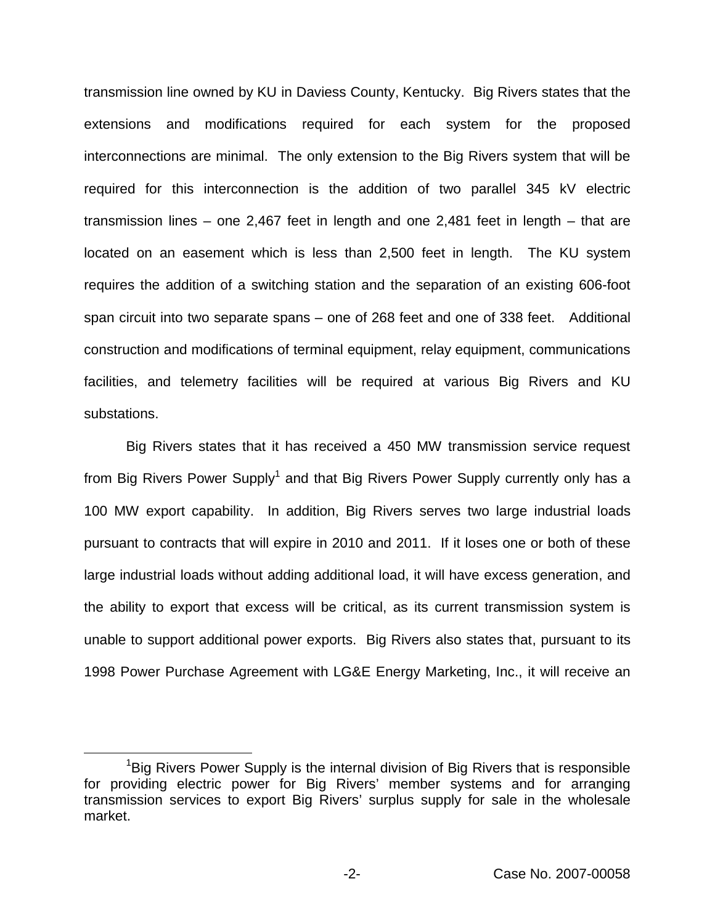transmission line owned by KU in Daviess County, Kentucky. Big Rivers states that the extensions and modifications required for each system for the proposed interconnections are minimal. The only extension to the Big Rivers system that will be required for this interconnection is the addition of two parallel 345 kV electric transmission lines – one 2,467 feet in length and one 2,481 feet in length – that are located on an easement which is less than 2,500 feet in length. The KU system requires the addition of a switching station and the separation of an existing 606-foot span circuit into two separate spans – one of 268 feet and one of 338 feet. Additional construction and modifications of terminal equipment, relay equipment, communications facilities, and telemetry facilities will be required at various Big Rivers and KU substations.

Big Rivers states that it has received a 450 MW transmission service request from Big Rivers Power Supply<sup>1</sup> and that Big Rivers Power Supply currently only has a 100 MW export capability. In addition, Big Rivers serves two large industrial loads pursuant to contracts that will expire in 2010 and 2011. If it loses one or both of these large industrial loads without adding additional load, it will have excess generation, and the ability to export that excess will be critical, as its current transmission system is unable to support additional power exports. Big Rivers also states that, pursuant to its 1998 Power Purchase Agreement with LG&E Energy Marketing, Inc., it will receive an

<sup>&</sup>lt;sup>1</sup>Big Rivers Power Supply is the internal division of Big Rivers that is responsible for providing electric power for Big Rivers' member systems and for arranging transmission services to export Big Rivers' surplus supply for sale in the wholesale market.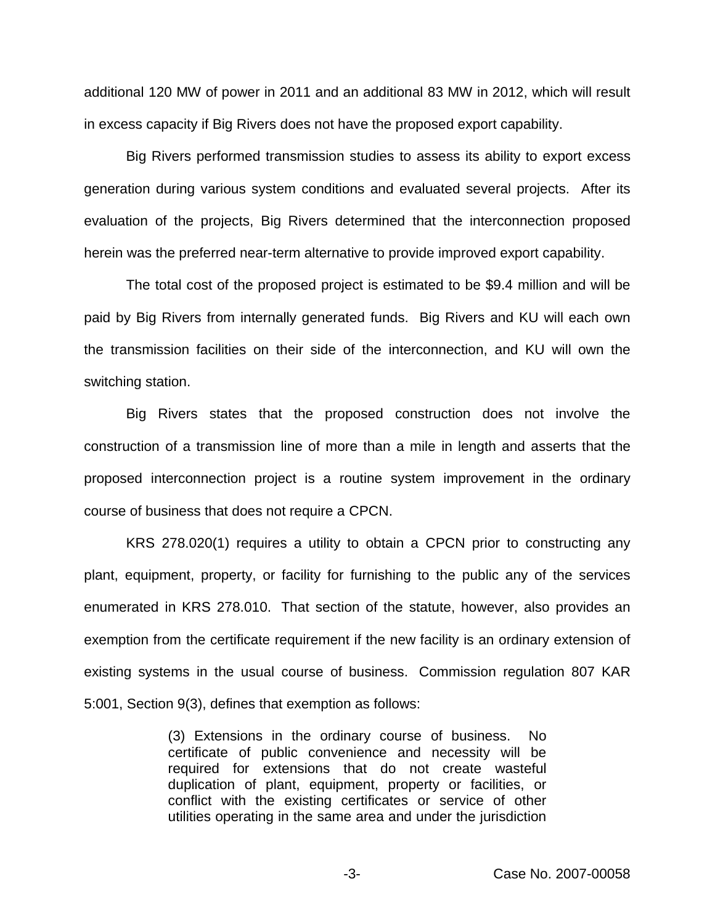additional 120 MW of power in 2011 and an additional 83 MW in 2012, which will result in excess capacity if Big Rivers does not have the proposed export capability.

Big Rivers performed transmission studies to assess its ability to export excess generation during various system conditions and evaluated several projects. After its evaluation of the projects, Big Rivers determined that the interconnection proposed herein was the preferred near-term alternative to provide improved export capability.

The total cost of the proposed project is estimated to be \$9.4 million and will be paid by Big Rivers from internally generated funds. Big Rivers and KU will each own the transmission facilities on their side of the interconnection, and KU will own the switching station.

Big Rivers states that the proposed construction does not involve the construction of a transmission line of more than a mile in length and asserts that the proposed interconnection project is a routine system improvement in the ordinary course of business that does not require a CPCN.

KRS 278.020(1) requires a utility to obtain a CPCN prior to constructing any plant, equipment, property, or facility for furnishing to the public any of the services enumerated in KRS 278.010. That section of the statute, however, also provides an exemption from the certificate requirement if the new facility is an ordinary extension of existing systems in the usual course of business. Commission regulation 807 KAR 5:001, Section 9(3), defines that exemption as follows:

> (3) Extensions in the ordinary course of business. No certificate of public convenience and necessity will be required for extensions that do not create wasteful duplication of plant, equipment, property or facilities, or conflict with the existing certificates or service of other utilities operating in the same area and under the jurisdiction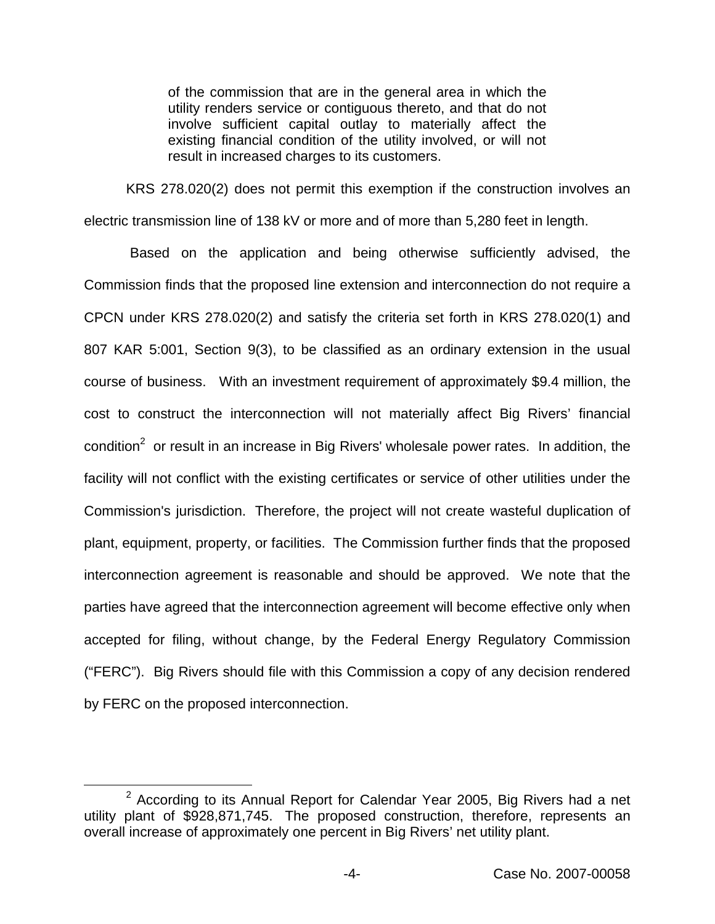of the commission that are in the general area in which the utility renders service or contiguous thereto, and that do not involve sufficient capital outlay to materially affect the existing financial condition of the utility involved, or will not result in increased charges to its customers.

KRS 278.020(2) does not permit this exemption if the construction involves an electric transmission line of 138 kV or more and of more than 5,280 feet in length.

Based on the application and being otherwise sufficiently advised, the Commission finds that the proposed line extension and interconnection do not require a CPCN under KRS 278.020(2) and satisfy the criteria set forth in KRS 278.020(1) and 807 KAR 5:001, Section 9(3), to be classified as an ordinary extension in the usual course of business. With an investment requirement of approximately \$9.4 million, the cost to construct the interconnection will not materially affect Big Rivers' financial condition<sup>2</sup> or result in an increase in Big Rivers' wholesale power rates. In addition, the facility will not conflict with the existing certificates or service of other utilities under the Commission's jurisdiction. Therefore, the project will not create wasteful duplication of plant, equipment, property, or facilities. The Commission further finds that the proposed interconnection agreement is reasonable and should be approved. We note that the parties have agreed that the interconnection agreement will become effective only when accepted for filing, without change, by the Federal Energy Regulatory Commission ("FERC"). Big Rivers should file with this Commission a copy of any decision rendered by FERC on the proposed interconnection.

 $2$  According to its Annual Report for Calendar Year 2005, Big Rivers had a net utility plant of \$928,871,745. The proposed construction, therefore, represents an overall increase of approximately one percent in Big Rivers' net utility plant.